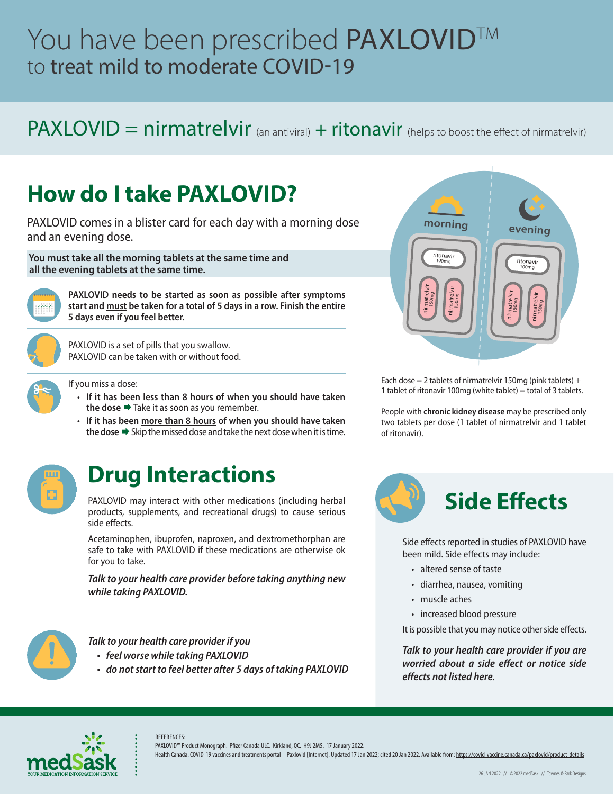# You have been prescribed PAXLOVID™ to treat mild to moderate COVID-19

### PAXLOVID = nirmatrelvir (an antiviral) + ritonavir (helps to boost the effect of nirmatrelvir)

# **How do I take PAXLOVID?**

PAXLOVID comes in a blister card for each day with a morning dose and an evening dose.

 **You must take all the morning tablets at the same time and all the evening tablets at the same time.** 



**PAXLOVID needs to be started as soon as possible after symptoms start and must be taken for a total of 5 days in a row. Finish the entire 5 days even if you feel better.**



PAXLOVID is a set of pills that you swallow. PAXLOVID can be taken with or without food.

- If you miss a dose:
	- **If it has been less than 8 hours of when you should have taken the dose → Take it as soon as you remember.**
	- **If it has been more than 8 hours of when you should have taken the dose →** Skip the missed dose and take the next dose when it is time.



### **Drug Interactions**

PAXLOVID may interact with other medications (including herbal products, supplements, and recreational drugs) to cause serious side effects.

Acetaminophen, ibuprofen, naproxen, and dextromethorphan are safe to take with PAXLOVID if these medications are otherwise ok for you to take.

*Talk to your health care provider before taking anything new while taking PAXLOVID.*



*Talk to your health care provider if you*

- *• feel worse while taking PAXLOVID*
- *• do not start to feel better after 5 days of taking PAXLOVID*



Each dose = 2 tablets of nirmatrelvir 150mg (pink tablets) + 1 tablet of ritonavir 100mg (white tablet) = total of 3 tablets.

People with **chronic kidney disease** may be prescribed only two tablets per dose (1 tablet of nirmatrelvir and 1 tablet of ritonavir).



Side effects reported in studies of PAXLOVID have been mild. Side effects may include:

- altered sense of taste
- diarrhea, nausea, vomiting
- muscle aches
- increased blood pressure

It is possible that you may notice other side effects.

*Talk to your health care provider if you are worried about a side effect or notice side effects not listed here.*



REFERENCES: PAXLOVID™ Product Monograph. Pfizer Canada ULC. Kirkland, QC. H9J 2M5. 17 January 2022.

Health Canada. COVID-19 vaccines and treatments portal - Paxlovid [Internet]. Updated 17 Jan 2022; cited 20 Jan 2022. Available from:<https://covid-vaccine.canada.ca/paxlovid/product-details>